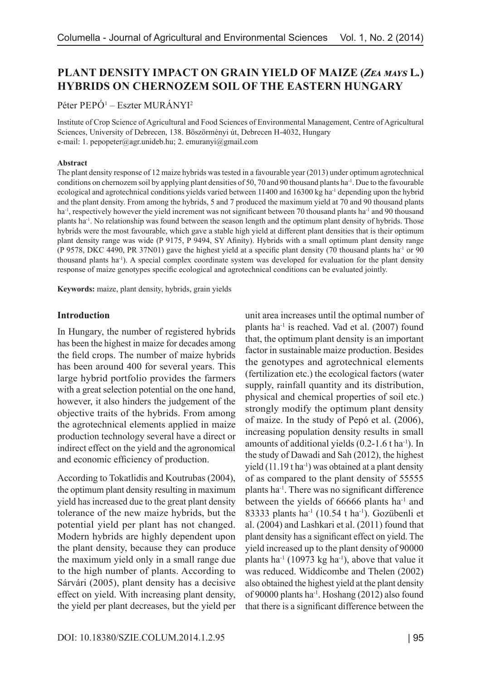# **PLANT DENSITY IMPACT ON GRAIN YIELD OF MAIZE (***Zea mays* **L***.***) HYBRIDS ON CHERNOZEM SOIL OF THE EASTERN HUNGARY**

Péter PEPÓ1 – Eszter MURÁNYI2

Institute of Crop Science of Agricultural and Food Sciences of Environmental Management, Centre of Agricultural Sciences, University of Debrecen, 138. Böszörményi út, Debrecen H-4032, Hungary e-mail: 1. pepopeter@agr.unideb.hu; 2. emuranyi@gmail.com

#### **Abstract**

The plant density response of 12 maize hybrids was tested in a favourable year (2013) under optimum agrotechnical conditions on chernozem soil by applying plant densities of 50, 70 and 90 thousand plants ha<sup>-1</sup>. Due to the favourable ecological and agrotechnical conditions yields varied between 11400 and 16300 kg ha<sup>-1</sup> depending upon the hybrid and the plant density. From among the hybrids, 5 and 7 produced the maximum yield at 70 and 90 thousand plants ha<sup>-1</sup>, respectively however the yield increment was not significant between 70 thousand plants ha<sup>-1</sup> and 90 thousand plants ha-1. No relationship was found between the season length and the optimum plant density of hybrids. Those hybrids were the most favourable, which gave a stable high yield at different plant densities that is their optimum plant density range was wide (P 9175, P 9494, SY Afinity). Hybrids with a small optimum plant density range (P 9578, DKC 4490, PR 37N01) gave the highest yield at a specific plant density (70 thousand plants ha-1 or 90 thousand plants ha-1). A special complex coordinate system was developed for evaluation for the plant density response of maize genotypes specific ecological and agrotechnical conditions can be evaluated jointly.

**Keywords:** maize, plant density, hybrids, grain yields

### **Introduction**

In Hungary, the number of registered hybrids has been the highest in maize for decades among the field crops. The number of maize hybrids has been around 400 for several years. This large hybrid portfolio provides the farmers with a great selection potential on the one hand, however, it also hinders the judgement of the objective traits of the hybrids. From among the agrotechnical elements applied in maize production technology several have a direct or indirect effect on the yield and the agronomical and economic efficiency of production.

According to Tokatlidis and Koutrubas (2004), the optimum plant density resulting in maximum yield has increased due to the great plant density tolerance of the new maize hybrids, but the potential yield per plant has not changed. Modern hybrids are highly dependent upon the plant density, because they can produce the maximum yield only in a small range due to the high number of plants. According to Sárvári (2005), plant density has a decisive effect on yield. With increasing plant density, the yield per plant decreases, but the yield per unit area increases until the optimal number of plants ha-1 is reached. Vad et al. (2007) found that, the optimum plant density is an important factor in sustainable maize production. Besides the genotypes and agrotechnical elements (fertilization etc.) the ecological factors (water supply, rainfall quantity and its distribution, physical and chemical properties of soil etc.) strongly modify the optimum plant density of maize. In the study of Pepó et al. (2006), increasing population density results in small amounts of additional yields  $(0.2-1.6 t \text{ ha}^{-1})$ . In the study of Dawadi and Sah (2012), the highest yield  $(11.19$  t ha<sup>-1</sup>) was obtained at a plant density of as compared to the plant density of 55555 plants ha-1. There was no significant difference between the yields of 66666 plants ha<sup>-1</sup> and 83333 plants ha-1 (10.54 t ha-1). Gozübenli et al. (2004) and Lashkari et al. (2011) found that plant density has a significant effect on yield. The yield increased up to the plant density of 90000 plants ha<sup>-1</sup> (10973 kg ha<sup>-1</sup>), above that value it was reduced. Widdicombe and Thelen (2002) also obtained the highest yield at the plant density of 90000 plants ha-1. Hoshang (2012) also found that there is a significant difference between the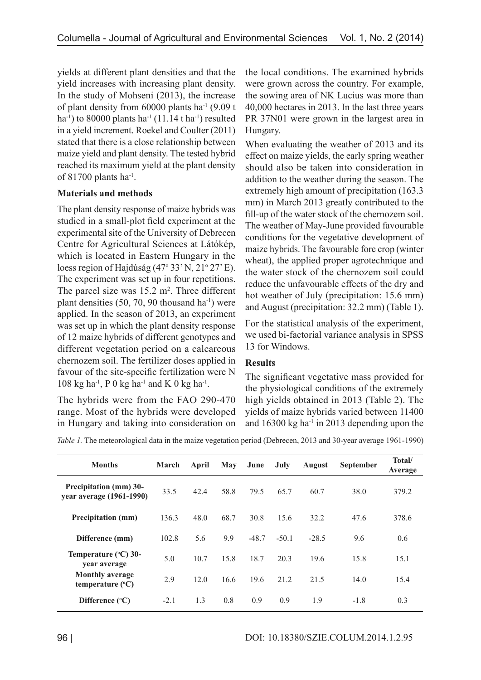yields at different plant densities and that the yield increases with increasing plant density. In the study of Mohseni (2013), the increase of plant density from 60000 plants ha-1 (9.09 t ha<sup>-1</sup>) to 80000 plants ha<sup>-1</sup> (11.14 t ha<sup>-1</sup>) resulted in a yield increment. Roekel and Coulter (2011) stated that there is a close relationship between maize yield and plant density. The tested hybrid reached its maximum yield at the plant density of  $81700$  plants ha<sup>-1</sup>.

## **Materials and methods**

The plant density response of maize hybrids was studied in a small-plot field experiment at the experimental site of the University of Debrecen Centre for Agricultural Sciences at Látókép, which is located in Eastern Hungary in the loess region of Hajdúság (47<sup>°</sup> 33' N, 21<sup>°</sup> 27' E). The experiment was set up in four repetitions. The parcel size was  $15.2 \text{ m}^2$ . Three different plant densities  $(50, 70, 90)$  thousand ha<sup>-1</sup>) were applied. In the season of 2013, an experiment was set up in which the plant density response of 12 maize hybrids of different genotypes and different vegetation period on a calcareous chernozem soil. The fertilizer doses applied in favour of the site-specific fertilization were N 108 kg ha<sup>-1</sup>, P 0 kg ha<sup>-1</sup> and K 0 kg ha<sup>-1</sup>.

The hybrids were from the FAO 290-470 range. Most of the hybrids were developed in Hungary and taking into consideration on the local conditions. The examined hybrids were grown across the country. For example, the sowing area of NK Lucius was more than 40,000 hectares in 2013. In the last three years PR 37N01 were grown in the largest area in Hungary.

When evaluating the weather of 2013 and its effect on maize yields, the early spring weather should also be taken into consideration in addition to the weather during the season. The extremely high amount of precipitation (163.3 mm) in March 2013 greatly contributed to the fill-up of the water stock of the chernozem soil. The weather of May-June provided favourable conditions for the vegetative development of maize hybrids. The favourable fore crop (winter wheat), the applied proper agrotechnique and the water stock of the chernozem soil could reduce the unfavourable effects of the dry and hot weather of July (precipitation: 15.6 mm) and August (precipitation: 32.2 mm) (Table 1).

For the statistical analysis of the experiment, we used bi-factorial variance analysis in SPSS 13 for Windows.

### **Results**

The significant vegetative mass provided for the physiological conditions of the extremely high yields obtained in 2013 (Table 2). The yields of maize hybrids varied between 11400 and  $16300 \text{ kg}$  ha<sup>-1</sup> in 2013 depending upon the

*Table 1.* The meteorological data in the maize vegetation period (Debrecen, 2013 and 30-year average 1961-1990)

| <b>Months</b>                                             | <b>March</b> | April | May  | June    | July    | <b>August</b> | September | Total/<br>Average |
|-----------------------------------------------------------|--------------|-------|------|---------|---------|---------------|-----------|-------------------|
| <b>Precipitation (mm) 30-</b><br>year average (1961-1990) | 33.5         | 42.4  | 58.8 | 79.5    | 65.7    | 60.7          | 38.0      | 379.2             |
| <b>Precipitation</b> (mm)                                 | 136.3        | 48.0  | 68.7 | 30.8    | 15.6    | 32.2          | 47.6      | 378.6             |
| Difference (mm)                                           | 102.8        | 5.6   | 9.9  | $-48.7$ | $-50.1$ | $-28.5$       | 9.6       | 0.6               |
| Temperature (°C) 30-<br>vear average                      | 5.0          | 10.7  | 15.8 | 18.7    | 20.3    | 19.6          | 15.8      | 15.1              |
| <b>Monthly average</b><br>temperature $(^{\circ}C)$       | 2.9          | 12.0  | 16.6 | 19.6    | 21.2    | 21.5          | 14.0      | 15.4              |
| Difference $(^{\circ}C)$                                  | $-2.1$       | 1.3   | 0.8  | 0.9     | 0.9     | 1.9           | $-1.8$    | 0.3               |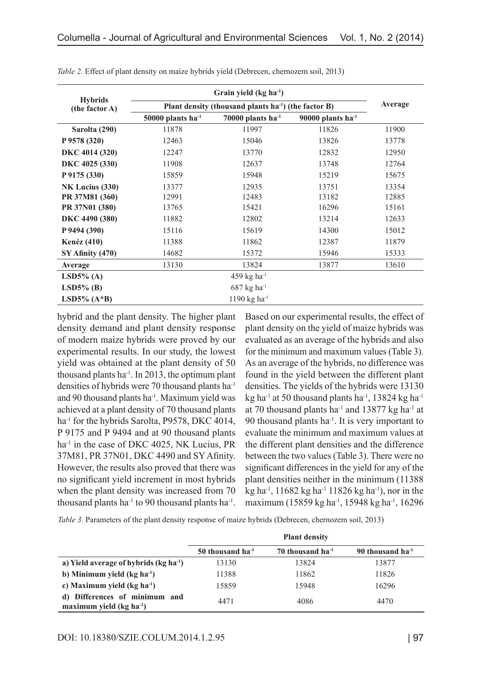| <b>Hybrids</b><br>(the factor A) |                                                                  | Average                   |                        |       |
|----------------------------------|------------------------------------------------------------------|---------------------------|------------------------|-------|
|                                  | Plant density (thousand plants ha <sup>-1</sup> ) (the factor B) |                           |                        |       |
|                                  | $50000$ plants ha <sup>-1</sup>                                  | 70000 plants $ha^{-1}$    | 90000 plants $ha^{-1}$ |       |
| Sarolta (290)                    | 11878                                                            | 11997                     | 11826                  | 11900 |
| P 9578 (320)                     | 12463                                                            | 15046                     | 13826                  | 13778 |
| DKC 4014 (320)                   | 12247                                                            | 13770                     | 12832                  | 12950 |
| DKC 4025 (330)                   | 11908                                                            | 12637                     | 13748                  | 12764 |
| P 9175 (330)                     | 15859                                                            | 15948                     | 15219                  | 15675 |
| NK Lucius (330)                  | 13377                                                            | 12935                     | 13751                  | 13354 |
| PR 37M81 (360)                   | 12991                                                            | 12483                     | 13182                  | 12885 |
| PR 37N01 (380)                   | 13765                                                            | 15421                     | 16296                  | 15161 |
| DKC 4490 (380)                   | 11882                                                            | 12802                     | 13214                  | 12633 |
| P 9494 (390)                     | 15116                                                            | 15619                     | 14300                  | 15012 |
| <b>Kenéz</b> (410)               | 11388                                                            | 11862                     | 12387                  | 11879 |
| SY Afinity (470)                 | 14682                                                            | 15372                     | 15946                  | 15333 |
| Average                          | 13130                                                            | 13824                     | 13877                  | 13610 |
| LSD5% $(A)$                      |                                                                  | 459 kg ha $^{-1}$         |                        |       |
| $LSD5\%$ (B)                     |                                                                  | $687$ kg ha <sup>-1</sup> |                        |       |
| LSD5% $(A*B)$                    |                                                                  | 1190 kg ha $^{-1}$        |                        |       |

*Table 2.* Effect of plant density on maize hybrids yield (Debrecen, chernozem soil, 2013)

hybrid and the plant density. The higher plant density demand and plant density response of modern maize hybrids were proved by our experimental results. In our study, the lowest yield was obtained at the plant density of 50 thousand plants ha<sup>-1</sup>. In 2013, the optimum plant densities of hybrids were 70 thousand plants ha-1 and 90 thousand plants ha-1. Maximum yield was achieved at a plant density of 70 thousand plants ha<sup>-1</sup> for the hybrids Sarolta, P9578, DKC 4014, P 9175 and P 9494 and at 90 thousand plants ha<sup>-1</sup> in the case of DKC 4025, NK Lucius, PR 37M81, PR 37N01, DKC 4490 and SY Afinity. However, the results also proved that there was no significant yield increment in most hybrids when the plant density was increased from 70 thousand plants ha<sup>-1</sup> to 90 thousand plants ha<sup>-1</sup>.

Based on our experimental results, the effect of plant density on the yield of maize hybrids was evaluated as an average of the hybrids and also for the minimum and maximum values (Table 3). As an average of the hybrids, no difference was found in the yield between the different plant densities. The yields of the hybrids were 13130 kg ha<sup>-1</sup> at 50 thousand plants ha<sup>-1</sup>, 13824 kg ha<sup>-1</sup> at 70 thousand plants ha $^{-1}$  and 13877 kg ha $^{-1}$  at 90 thousand plants ha-1. It is very important to evaluate the minimum and maximum values at the different plant densities and the difference between the two values (Table 3). There were no significant differences in the yield for any of the plant densities neither in the minimum (11388 kg ha-1, 11682 kg ha-1 11826 kg ha-1), nor in the maximum (15859 kg ha-1, 15948 kg ha-1, 16296

*Table 3.* Parameters of the plant density response of maize hybrids (Debrecen, chernozem soil, 2013)

|                                                            | <b>Plant density</b>  |                       |                              |  |  |
|------------------------------------------------------------|-----------------------|-----------------------|------------------------------|--|--|
|                                                            | 50 thousand $ha^{-1}$ | 70 thousand $ha^{-1}$ | 90 thousand ha <sup>-1</sup> |  |  |
| a) Yield average of hybrids $(kg ha-1)$                    | 13130                 | 13824                 | 13877                        |  |  |
| b) Minimum yield $(kg ha-1)$                               | 11388                 | 11862                 | 11826                        |  |  |
| c) Maximum yield $(kg ha-1)$                               | 15859                 | 15948                 | 16296                        |  |  |
| d) Differences of minimum and<br>maximum yield $(kg ha-1)$ | 4471                  | 4086                  | 4470                         |  |  |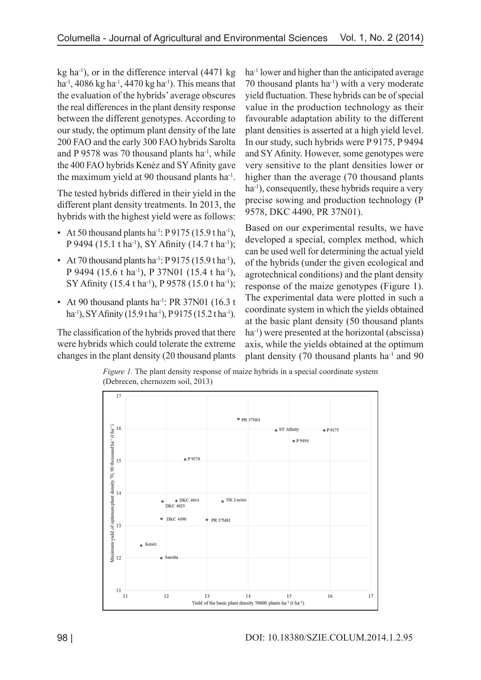kg ha<sup>-1</sup>), or in the difference interval  $(4471 \text{ kg})$ ha<sup>-1</sup>, 4086 kg ha<sup>-1</sup>, 4470 kg ha<sup>-1</sup>). This means that the evaluation of the hybrids' average obscures the real differences in the plant density response between the different genotypes. According to our study, the optimum plant density of the late 200 FAO and the early 300 FAO hybrids Sarolta and P 9578 was 70 thousand plants ha<sup>-1</sup>, while the 400 FAO hybrids Kenéz and SY Afinity gave the maximum yield at 90 thousand plants ha-1.

The tested hybrids differed in their yield in the different plant density treatments. In 2013, the hybrids with the highest yield were as follows:

- At 50 thousand plants ha<sup>-1</sup>: P 9175 (15.9 t ha<sup>-1</sup>), P 9494 (15.1 t ha<sup>-1</sup>), SY Afinity (14.7 t ha<sup>-1</sup>);
- At 70 thousand plants ha<sup>-1</sup>: P 9175 (15.9 t ha<sup>-1</sup>), P 9494 (15.6 t ha<sup>-1</sup>), P 37N01 (15.4 t ha<sup>-1</sup>), SY Afinity (15.4 t ha<sup>-1</sup>), P 9578 (15.0 t ha<sup>-1</sup>);
- At 90 thousand plants ha<sup>-1</sup>: PR 37N01 (16.3 t) ha<sup>-1</sup>), SY Afinity (15.9 tha<sup>-1</sup>), P 9175 (15.2 tha<sup>-1</sup>).

The classification of the hybrids proved that there were hybrids which could tolerate the extreme changes in the plant density (20 thousand plants ha<sup>-1</sup> lower and higher than the anticipated average 70 thousand plants ha<sup>-1</sup>) with a very moderate yield fluctuation. These hybrids can be of special value in the production technology as their favourable adaptation ability to the different plant densities is asserted at a high yield level. In our study, such hybrids were P 9175, P 9494 and SY Afinity. However, some genotypes were very sensitive to the plant densities lower or higher than the average (70 thousand plants ha<sup>-1</sup>), consequently, these hybrids require a very precise sowing and production technology (P 9578, DKC 4490, PR 37N01).

Based on our experimental results, we have developed a special, complex method, which can be used well for determining the actual yield of the hybrids (under the given ecological and agrotechnical conditions) and the plant density response of the maize genotypes (Figure 1). The experimental data were plotted in such a coordinate system in which the yields obtained at the basic plant density (50 thousand plants ha<sup>-1</sup>) were presented at the horizontal (abscissa) axis, while the yields obtained at the optimum plant density (70 thousand plants ha-1 and 90

*Figure 1*. The plant density response of maize hybrids in a special coordinate system (Debrecen, chernozem soil, 2013)

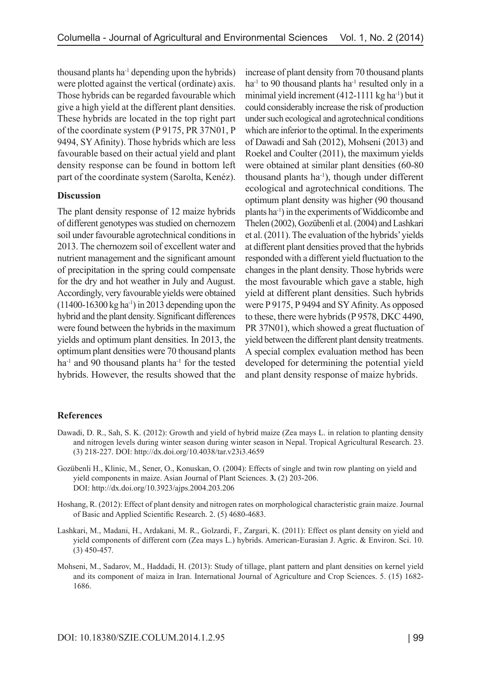thousand plants ha<sup>-1</sup> depending upon the hybrids) were plotted against the vertical (ordinate) axis. Those hybrids can be regarded favourable which give a high yield at the different plant densities. These hybrids are located in the top right part of the coordinate system (P 9175, PR 37N01, P 9494, SY Afinity). Those hybrids which are less favourable based on their actual yield and plant density response can be found in bottom left part of the coordinate system (Sarolta, Kenéz).

### **Discussion**

The plant density response of 12 maize hybrids of different genotypes was studied on chernozem soil under favourable agrotechnical conditions in 2013. The chernozem soil of excellent water and nutrient management and the significant amount of precipitation in the spring could compensate for the dry and hot weather in July and August. Accordingly, very favourable yields were obtained  $(11400-16300 \text{ kg} \text{ ha}^{-1})$  in 2013 depending upon the hybrid and the plant density. Significant differences were found between the hybrids in the maximum yields and optimum plant densities. In 2013, the optimum plant densities were 70 thousand plants ha<sup>-1</sup> and 90 thousand plants ha<sup>-1</sup> for the tested hybrids. However, the results showed that the increase of plant density from 70 thousand plants ha<sup>-1</sup> to 90 thousand plants ha<sup>-1</sup> resulted only in a minimal yield increment  $(412-1111 \text{ kg ha}^{-1})$  but it could considerably increase the risk of production under such ecological and agrotechnical conditions which are inferior to the optimal. In the experiments of Dawadi and Sah (2012), Mohseni (2013) and Roekel and Coulter (2011), the maximum yields were obtained at similar plant densities (60-80 thousand plants ha-1), though under different ecological and agrotechnical conditions. The optimum plant density was higher (90 thousand plants ha-1) in the experiments of Widdicombe and Thelen (2002), Gozübenli et al. (2004) and Lashkari et al. (2011). The evaluation of the hybrids' yields at different plant densities proved that the hybrids responded with a different yield fluctuation to the changes in the plant density. Those hybrids were the most favourable which gave a stable, high yield at different plant densities. Such hybrids were P 9175, P 9494 and SY Afinity. As opposed to these, there were hybrids (P 9578, DKC 4490, PR 37N01), which showed a great fluctuation of yield between the different plant density treatments. A special complex evaluation method has been developed for determining the potential yield and plant density response of maize hybrids.

### **References**

- Dawadi, D. R., Sah, S. K. (2012): Growth and yield of hybrid maize (Zea mays L. in relation to planting density and nitrogen levels during winter season during winter season in Nepal. Tropical Agricultural Research. 23. (3) 218-227. DOI: http://dx.doi.org/10.4038/tar.v23i3.4659
- Gozübenli H., Klinic, M., Sener, O., Konuskan, O. (2004): Effects of single and twin row planting on yield and yield components in maize. Asian Journal of Plant Sciences. **3.** (2) 203-206. DOI: http://dx.doi.org/10.3923/ajps.2004.203.206
- Hoshang, R. (2012): Effect of plant density and nitrogen rates on morphological characteristic grain maize. Journal of Basic and Applied Scientific Research. 2. (5) 4680-4683.
- Lashkari, M., Madani, H., Ardakani, M. R., Golzardi, F., Zargari, K. (2011): Effect os plant density on yield and yield components of different corn (Zea mays L.) hybrids. American-Eurasian J. Agric. & Environ. Sci. 10. (3) 450-457.
- Mohseni, M., Sadarov, M., Haddadi, H. (2013): Study of tillage, plant pattern and plant densities on kernel yield and its component of maiza in Iran. International Journal of Agriculture and Crop Sciences. 5. (15) 1682- 1686.